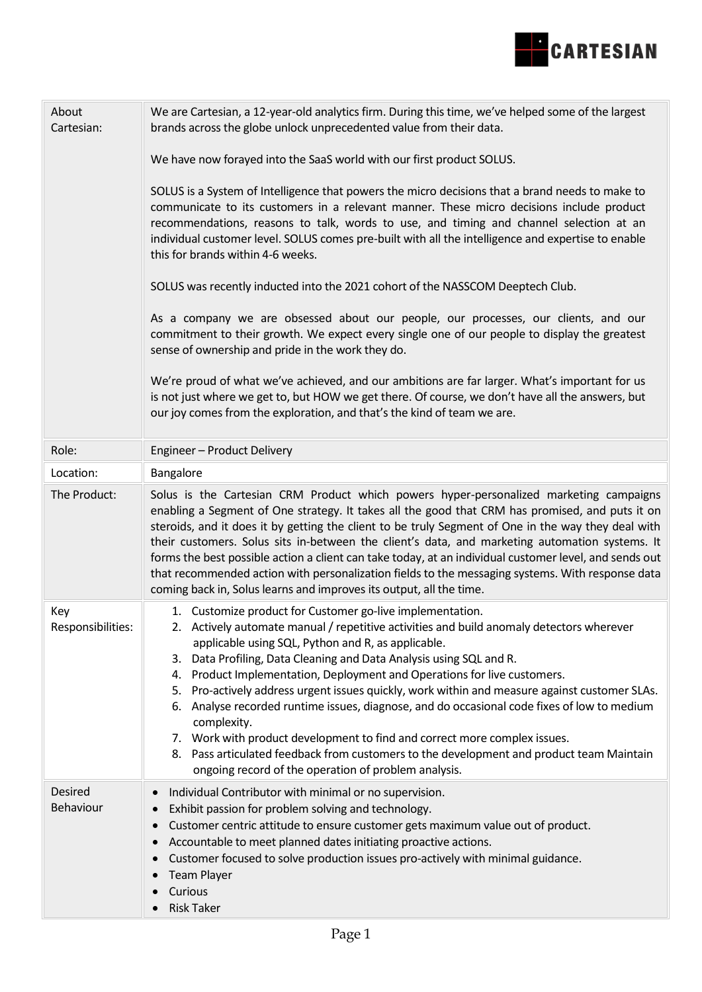

| About<br>Cartesian:      | We are Cartesian, a 12-year-old analytics firm. During this time, we've helped some of the largest<br>brands across the globe unlock unprecedented value from their data.<br>We have now forayed into the SaaS world with our first product SOLUS.<br>SOLUS is a System of Intelligence that powers the micro decisions that a brand needs to make to<br>communicate to its customers in a relevant manner. These micro decisions include product<br>recommendations, reasons to talk, words to use, and timing and channel selection at an<br>individual customer level. SOLUS comes pre-built with all the intelligence and expertise to enable<br>this for brands within 4-6 weeks.<br>SOLUS was recently inducted into the 2021 cohort of the NASSCOM Deeptech Club.<br>As a company we are obsessed about our people, our processes, our clients, and our<br>commitment to their growth. We expect every single one of our people to display the greatest<br>sense of ownership and pride in the work they do.<br>We're proud of what we've achieved, and our ambitions are far larger. What's important for us<br>is not just where we get to, but HOW we get there. Of course, we don't have all the answers, but |
|--------------------------|--------------------------------------------------------------------------------------------------------------------------------------------------------------------------------------------------------------------------------------------------------------------------------------------------------------------------------------------------------------------------------------------------------------------------------------------------------------------------------------------------------------------------------------------------------------------------------------------------------------------------------------------------------------------------------------------------------------------------------------------------------------------------------------------------------------------------------------------------------------------------------------------------------------------------------------------------------------------------------------------------------------------------------------------------------------------------------------------------------------------------------------------------------------------------------------------------------------------------|
|                          | our joy comes from the exploration, and that's the kind of team we are.                                                                                                                                                                                                                                                                                                                                                                                                                                                                                                                                                                                                                                                                                                                                                                                                                                                                                                                                                                                                                                                                                                                                                  |
| Role:                    | Engineer - Product Delivery                                                                                                                                                                                                                                                                                                                                                                                                                                                                                                                                                                                                                                                                                                                                                                                                                                                                                                                                                                                                                                                                                                                                                                                              |
| Location:                | Bangalore                                                                                                                                                                                                                                                                                                                                                                                                                                                                                                                                                                                                                                                                                                                                                                                                                                                                                                                                                                                                                                                                                                                                                                                                                |
| The Product:             | Solus is the Cartesian CRM Product which powers hyper-personalized marketing campaigns<br>enabling a Segment of One strategy. It takes all the good that CRM has promised, and puts it on<br>steroids, and it does it by getting the client to be truly Segment of One in the way they deal with<br>their customers. Solus sits in-between the client's data, and marketing automation systems. It<br>forms the best possible action a client can take today, at an individual customer level, and sends out<br>that recommended action with personalization fields to the messaging systems. With response data<br>coming back in, Solus learns and improves its output, all the time.                                                                                                                                                                                                                                                                                                                                                                                                                                                                                                                                  |
| Key<br>Responsibilities: | 1. Customize product for Customer go-live implementation.<br>2. Actively automate manual / repetitive activities and build anomaly detectors wherever<br>applicable using SQL, Python and R, as applicable.<br>3. Data Profiling, Data Cleaning and Data Analysis using SQL and R.<br>4. Product Implementation, Deployment and Operations for live customers.<br>5. Pro-actively address urgent issues quickly, work within and measure against customer SLAs.<br>6. Analyse recorded runtime issues, diagnose, and do occasional code fixes of low to medium<br>complexity.<br>7. Work with product development to find and correct more complex issues.<br>8. Pass articulated feedback from customers to the development and product team Maintain<br>ongoing record of the operation of problem analysis.                                                                                                                                                                                                                                                                                                                                                                                                           |
| Desired<br>Behaviour     | Individual Contributor with minimal or no supervision.<br>Exhibit passion for problem solving and technology.<br>$\bullet$<br>Customer centric attitude to ensure customer gets maximum value out of product.<br>$\bullet$<br>Accountable to meet planned dates initiating proactive actions.<br>$\bullet$<br>Customer focused to solve production issues pro-actively with minimal guidance.<br>$\bullet$<br><b>Team Player</b><br>$\bullet$<br>Curious<br><b>Risk Taker</b>                                                                                                                                                                                                                                                                                                                                                                                                                                                                                                                                                                                                                                                                                                                                            |